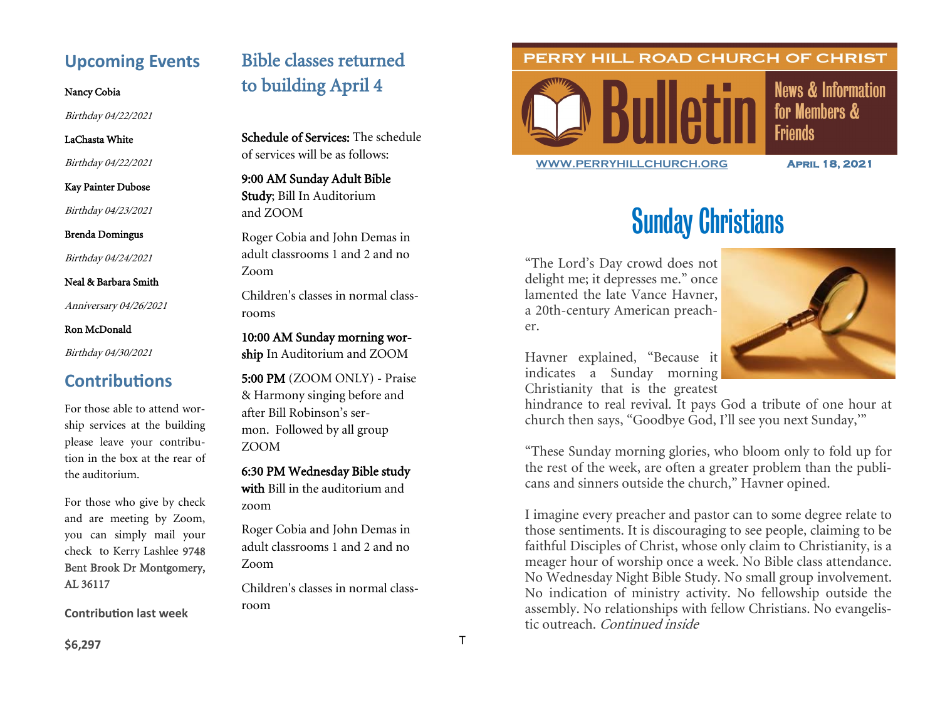# **Upcoming Events**

#### Nancy Cobia

Birthday 04/22/2021

#### LaChasta White

Birthday 04/22/2021

#### Kay Painter Dubose

Birthday 04/23/2021

Brenda Domingus

Birthday 04/24/2021

Neal & Barbara Smith

Anniversary 04/26/2021

#### Ron McDonald

Birthday 04/30/2021

# **Contributions**

For those able to attend worship services at the building please leave your contribution in the box at the rear of the auditorium.

For those who give by check and are meeting by Zoom, you can simply mail your check to Kerry Lashlee 9748 Bent Brook Dr Montgomery, AL 36117

**Contribution last week**

# Bible classes returned to building April 4

Schedule of Services: The schedule of services will be as follows:

9:00 AM Sunday Adult Bible Study; Bill In Auditorium and ZOOM

Roger Cobia and John Demas in adult classrooms 1 and 2 and no Zoom

Children's classes in normal classrooms

10:00 AM Sunday morning wor-

ship In Auditorium and ZOOM

5:00 PM (ZOOM ONLY) - Praise & Harmony singing before and after Bill Robinson's sermon. Followed by all group ZOOM

#### 6:30 PM Wednesday Bible study

with Bill in the auditorium and zoom

Roger Cobia and John Demas in adult classrooms 1 and 2 and no Zoom

Children's classes in normal classroom

#### PERRY HILL ROAD CHURCH OF CHRIST



**News & Information** for Members & **Friends** 

**[WWW.PERRYHILLCHURCH.ORG](http://www.perryhillchurch.org) April 18, 2021** 

# Sunday Christians

"The Lord's Day crowd does not delight me; it depresses me." once lamented the late Vance Havner, a 20th-century American preacher.



Havner explained, "Because it indicates a Sunday morning Christianity that is the greatest

hindrance to real revival. It pays God a tribute of one hour at church then says, "Goodbye God, I'll see you next Sunday,'"

"These Sunday morning glories, who bloom only to fold up for the rest of the week, are often a greater problem than the publicans and sinners outside the church," Havner opined.

I imagine every preacher and pastor can to some degree relate to those sentiments. It is discouraging to see people, claiming to be faithful Disciples of Christ, whose only claim to Christianity, is a meager hour of worship once a week. No Bible class attendance. No Wednesday Night Bible Study. No small group involvement. No indication of ministry activity. No fellowship outside the assembly. No relationships with fellow Christians. No evangelistic outreach. Continued inside

**\$6,297**